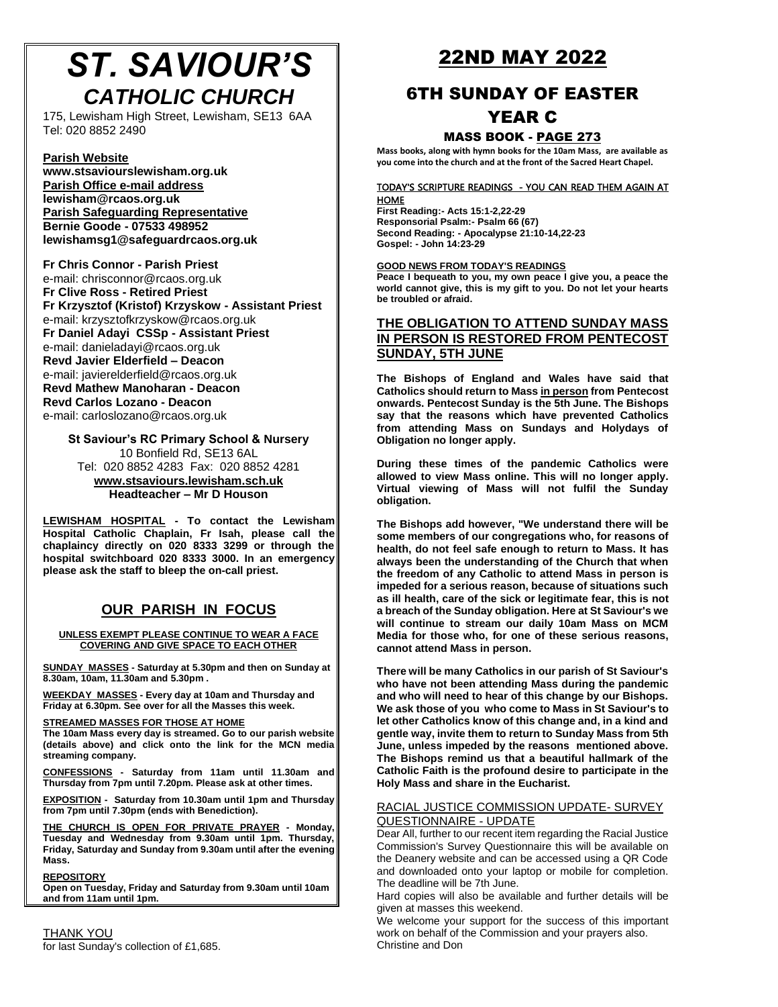# *ST. SAVIOUR'S CATHOLIC CHURCH*

[175, Lewisham High Street, Lewish](http://www.stsaviourslewisham.org/)am, SE13 6AA Tel: 020 8852 2490

#### **Parish Website**

**www.stsaviourslewisham.org.uk Parish Office e-mail address lewisham@rcaos.org.uk Parish Safeguarding Representative Bernie Goode - 07533 498952 lewishamsg1@safeguardrcaos.org.uk**

**Fr Chris Connor - Parish Priest** e-mail: chrisconnor@rcaos.org.uk **Fr Clive Ross - Retired Priest Fr Krzysztof (Kristof) Krzyskow - Assistant Priest** e-mail: krzysztofkrzyskow@rcaos.org.uk **Fr Daniel Adayi CSSp - Assistant Priest** e-mail: danieladayi@rcaos.org.uk **Revd Javier Elderfield – Deacon** e-mail: javierelderfield@rcaos.org.uk **Revd Mathew Manoharan - Deacon Revd Carlos Lozano - Deacon** e-mail: carloslozano@rcaos.org.uk

**St S[aviour's RC Primary School & Nursery](http://www.stsaviours.lewisham.sch.uk/)** 10 Bonfield Rd, SE13 6AL Tel: 020 8852 4283 Fax: 020 8852 4281 **www.stsaviours.lewisham.sch.uk Headteacher – Mr D Houson** 

**LEWISHAM HOSPITAL - To contact the Lewisham Hospital Catholic Chaplain, Fr Isah, please call the chaplaincy directly on 020 8333 3299 or through the hospital switchboard 020 8333 3000. In an emergency please ask the staff to bleep the on-call priest.**

### **OUR PARISH IN FOCUS**

**UNLESS EXEMPT PLEASE CONTINUE TO WEAR A FACE COVERING AND GIVE SPACE TO EACH OTHER**

**SUNDAY MASSES - Saturday at 5.30pm and then on Sunday at 8.30am, 10am, 11.30am and 5.30pm .**

**WEEKDAY MASSES - Every day at 10am and Thursday and Friday at 6.30pm. See over for all the Masses this week.**

#### **STREAMED MASSES FOR THOSE AT HOME**

**The 10am Mass every day is streamed. Go to our parish website (details above) and click onto the link for the MCN media streaming company.**

**CONFESSIONS - Saturday from 11am until 11.30am and Thursday from 7pm until 7.20pm. Please ask at other times.**

**EXPOSITION - Saturday from 10.30am until 1pm and Thursday from 7pm until 7.30pm (ends with Benediction).**

**THE CHURCH IS OPEN FOR PRIVATE PRAYER - Monday, Tuesday and Wednesday from 9.30am until 1pm. Thursday, Friday, Saturday and Sunday from 9.30am until after the evening Mass.**

#### **REPOSITORY**

**Open on Tuesday, Friday and Saturday from 9.30am until 10am and from 11am until 1pm.**

THANK YOU for last Sunday's collection of £1,685.

## 22ND MAY 2022

## 6TH SUNDAY OF EASTER

## YEAR C

#### MASS BOOK - PAGE 273

**Mass books, along with hymn books for the 10am Mass, are available as you come into the church and at the front of the Sacred Heart Chapel.**

#### TODAY'S SCRIPTURE READINGS - YOU CAN READ THEM AGAIN AT **HOME**

**First Reading:- Acts 15:1-2,22-29 Responsorial Psalm:- Psalm 66 (67) Second Reading: - Apocalypse 21:10-14,22-23 Gospel: - John 14:23-29**

**GOOD NEWS FROM TODAY'S READINGS**

**Peace I bequeath to you, my own peace I give you, a peace the world cannot give, this is my gift to you. Do not let your hearts be troubled or afraid.**

#### **THE OBLIGATION TO ATTEND SUNDAY MASS IN PERSON IS RESTORED FROM PENTECOST SUNDAY, 5TH JUNE**

**The Bishops of England and Wales have said that Catholics should return to Mass in person from Pentecost onwards. Pentecost Sunday is the 5th June. The Bishops say that the reasons which have prevented Catholics from attending Mass on Sundays and Holydays of Obligation no longer apply.**

**During these times of the pandemic Catholics were allowed to view Mass online. This will no longer apply. Virtual viewing of Mass will not fulfil the Sunday obligation.**

**The Bishops add however, "We understand there will be some members of our congregations who, for reasons of health, do not feel safe enough to return to Mass. It has always been the understanding of the Church that when the freedom of any Catholic to attend Mass in person is impeded for a serious reason, because of situations such as ill health, care of the sick or legitimate fear, this is not a breach of the Sunday obligation. Here at St Saviour's we will continue to stream our daily 10am Mass on MCM Media for those who, for one of these serious reasons, cannot attend Mass in person.**

**There will be many Catholics in our parish of St Saviour's who have not been attending Mass during the pandemic and who will need to hear of this change by our Bishops. We ask those of you who come to Mass in St Saviour's to let other Catholics know of this change and, in a kind and gentle way, invite them to return to Sunday Mass from 5th June, unless impeded by the reasons mentioned above. The Bishops remind us that a beautiful hallmark of the Catholic Faith is the profound desire to participate in the Holy Mass and share in the Eucharist.**

#### RACIAL JUSTICE COMMISSION UPDATE- SURVEY QUESTIONNAIRE - UPDATE

Dear All, further to our recent item regarding the Racial Justice Commission's Survey Questionnaire this will be available on the Deanery website and can be accessed using a QR Code and downloaded onto your laptop or mobile for completion. The deadline will be 7th June.

Hard copies will also be available and further details will be given at masses this weekend.

We welcome your support for the success of this important work on behalf of the Commission and your prayers also. Christine and Don